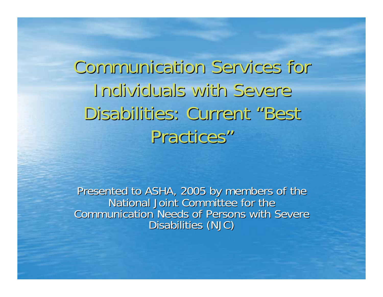Communication Services for Individuals with Severe Disabilities: Current "Best Practices"

Presented to ASHA, 2005 by members of the National Joint Committee for the Communication Needs of Persons with Severe Disabilities (NJC)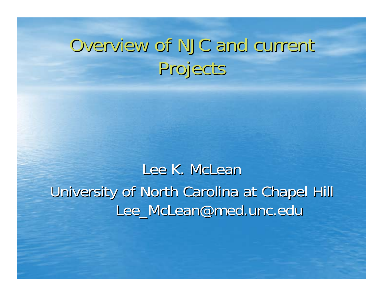## Overview of NJC and current Projects

Lee K. McLean University of North Carolina at Chapel Hill Lee\_McLean@med.unc.edu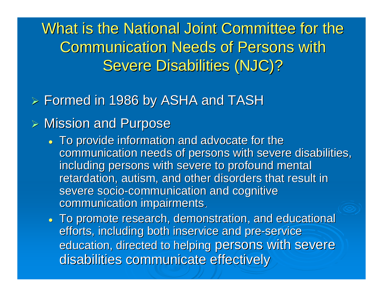What is the National Joint Committee for the **Communication Needs of Persons with** Severe Disabilities (NJC)?

### $>$  Formed in 1986 by ASHA and TASH

### $>$  Mission and Purpose

- To provide information and advocate for the communication needs of persons with severe disabilities, including persons with severe to profound mental retardation, autism, and other disorders that result in severe socio-communication and cognitive communication impairments.
- . To promote research, demonstration, and educational efforts, including both inservice and pre-service education, directed to helping persons with severe disabilities communicate effectively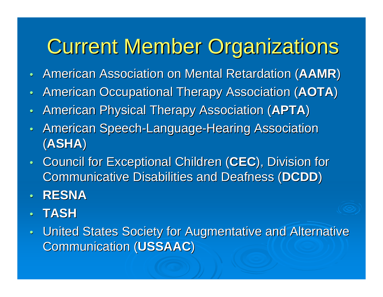# **Current Member Organizations**

- •• American Association on Mental Retardation (**AAMR**)
- $\bullet$ • American Occupational Therapy Association (AOTA)
- $\bullet$ • American Physical Therapy Association (APTA)
- $\bullet$ • American Speech-Language-Hearing Association (**ASHA** )
- •• Council for Exceptional Children (CEC), Division for Communicative Disabilities and Deafness (**DCDD**)
- $\bullet$ **RESNA**
- •**TASH**
- $\bullet$ United States Society for Augmentative and Alternative Communication (USSAAC)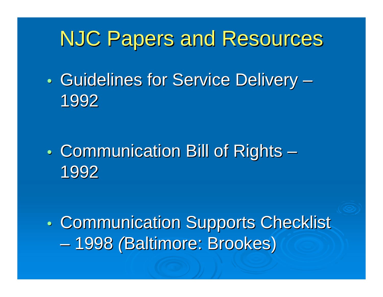## **NJC Papers and Resources**

 $\bullet$ • Guidelines for Service Delivery · **However the Common** 1992

 $\bullet$  $\bullet$  Communication Bill of Rights  $\cdot$  $\mathcal{L}_{\mathcal{A}}$ 1992

 $\bullet$ • Communication Supports Checklist  $\mathcal{L}_{\mathcal{A}}$ - 1998 *(*Baltimore: Brookes)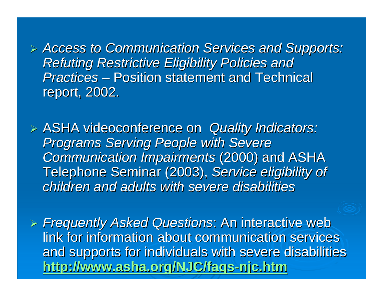! *Access to Communication Services and Supports: Access to Communication Services and Supports:*  **Refuting Restrictive Eligibility Policies and** *Practices* – Position statement and Technical report, 2002.

 $\triangleright$  ASHA videoconference on *Quality Indicators:* **Programs Serving People with Severe** *Communication Impairments Communication Impairments* (2000) and ASHA (2000) and ASHA Telephone Seminar (2003), Service eligibility of *children and adults with severe disabilities children and adults with severe disabilities*

! *Frequently Asked Questions Frequently Asked Questions*: An interactive web : An interactive web link for information about communication services and supports for individuals with severe disabilities **http://www.asha.org/NJC/faqs http://www.asha.org/NJC/faqs-njc.htm njc.htm**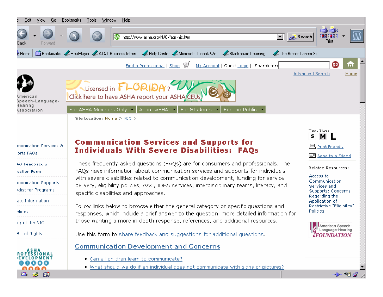| Edit<br>View<br>t₫o                       | <u>B</u> ookmarks<br><u>T</u> ools <u>W</u> indow<br><u>Help</u>                                                                                                                                                          |                                                                         |  |  |
|-------------------------------------------|---------------------------------------------------------------------------------------------------------------------------------------------------------------------------------------------------------------------------|-------------------------------------------------------------------------|--|--|
| Back<br>Forward                           | Search<br>http://www.asha.org/NJC/faqs-njc.htm                                                                                                                                                                            | Print                                                                   |  |  |
| $ $ Home                                  | Bookmarks A RealPlayer A AT&T Business Intern A Help Center A Microsoft Outlook We A Blackboard Learning  A The Breast Cancer Si                                                                                          |                                                                         |  |  |
|                                           | Find a Professional   Shop \ My Account   Guest Login   Search for:                                                                                                                                                       | <b>go</b><br>m                                                          |  |  |
|                                           |                                                                                                                                                                                                                           | <b>Advanced Search</b><br>Home                                          |  |  |
| merican)<br>Speech-Language-              | Licensed in <b>FLORIDA</b> ?<br>Click here to have ASHA report your ASHA CEUs                                                                                                                                             |                                                                         |  |  |
| learing<br>\ssociation                    | For ASHA Members Only   About ASHA   For Students<br>For the Public $\blacktriangledown$                                                                                                                                  |                                                                         |  |  |
|                                           | Site Location: Home $>$ NJC $>$                                                                                                                                                                                           |                                                                         |  |  |
| munication Services &<br>orts FAQs        | <b>Communication Services and Supports for</b><br><b>Individuals With Severe Disabilities: FAQs</b>                                                                                                                       | Text Size:<br>M L<br>s<br><b>且 Print Friendly</b><br>E Send to a Friend |  |  |
| <b>AQ Feedback &amp;</b><br>estion Form   | These frequently asked questions (FAQs) are for consumers and professionals. The<br>FAQs have information about communication services and supports for individuals                                                       | Related Resources:<br>Access to                                         |  |  |
| munication Supports<br>klist for Programs | with severe disabilities related to communication development, funding for service<br>delivery, eligibility policies, AAC, IDEA services, interdisciplinary teams, literacy, and<br>specific disabilities and approaches. | Communication<br>Services and<br>Supports: Concerns                     |  |  |
| act Information                           |                                                                                                                                                                                                                           | Regarding the<br>Application of                                         |  |  |
| elines                                    | Follow links below to browse either the general category or specific questions and<br>responses, which include a brief answer to the question, more detailed information for                                              | Restrictive "Eligibility"<br>Policies                                   |  |  |
| ry of the NJC                             | those wanting a more in depth response, references, and additional resources.                                                                                                                                             |                                                                         |  |  |
| <b>Bill of Rights</b>                     | Use this form to share feedback and suggestions for additional questions.                                                                                                                                                 | American Speech-<br>Language-Hearing<br><b>FOUNDATION</b>               |  |  |
| ROFESSIONAL<br>00000<br><u>aana</u>       | <b>Communication Development and Concerns</b><br>. Can all children learn to communicate?<br>. What should we do if an individual does not communicate with signs or pictures?                                            |                                                                         |  |  |
| ■ ※ 国                                     |                                                                                                                                                                                                                           | $\mathbf{L}$ $\mathbf{R}$ $\mathbf{R}$                                  |  |  |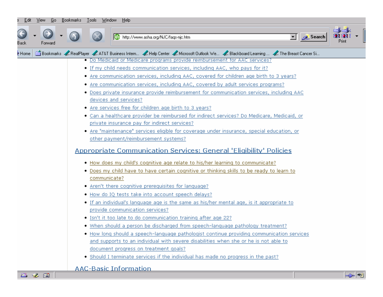| <u>⊧d</u> ıt | View Lio                                                                                                                         | Bookmarks Lools Window Help |                                                                                                                                                           |  |                                      |  |  |  |  |  |  |        |  |                             |  |
|--------------|----------------------------------------------------------------------------------------------------------------------------------|-----------------------------|-----------------------------------------------------------------------------------------------------------------------------------------------------------|--|--------------------------------------|--|--|--|--|--|--|--------|--|-----------------------------|--|
| <b>Back</b>  | Forward                                                                                                                          |                             |                                                                                                                                                           |  | http://www.asha.org/NJC/faqs-njc.htm |  |  |  |  |  |  | Search |  |                             |  |
| Home         | Bookmarks A RealPlayer A AT&T Business Intern A Help Center A Microsoft Outlook We A Blackboard Learning  A The Breast Cancer Si |                             |                                                                                                                                                           |  |                                      |  |  |  |  |  |  |        |  |                             |  |
|              |                                                                                                                                  |                             | . Do Medicaid or Medicare programs provide reimbursement for AAC services?<br>• If my child needs communication services, including AAC, who pays for it? |  |                                      |  |  |  |  |  |  |        |  |                             |  |
|              |                                                                                                                                  |                             | • Are communication services, including AAC, covered for children age birth to 3 years?                                                                   |  |                                      |  |  |  |  |  |  |        |  |                             |  |
|              |                                                                                                                                  |                             |                                                                                                                                                           |  |                                      |  |  |  |  |  |  |        |  |                             |  |
|              |                                                                                                                                  |                             | • Are communication services, including AAC, covered by adult services programs?                                                                          |  |                                      |  |  |  |  |  |  |        |  |                             |  |
|              |                                                                                                                                  |                             | • Does private insurance provide reimbursement for communication services, including AAC<br>devices and services?                                         |  |                                      |  |  |  |  |  |  |        |  |                             |  |
|              |                                                                                                                                  |                             | • Are services free for children age birth to 3 years?                                                                                                    |  |                                      |  |  |  |  |  |  |        |  |                             |  |
|              |                                                                                                                                  |                             | • Can a healthcare provider be reimbursed for indirect services? Do Medicare, Medicaid, or                                                                |  |                                      |  |  |  |  |  |  |        |  |                             |  |
|              |                                                                                                                                  |                             | private insurance pay for indirect services?                                                                                                              |  |                                      |  |  |  |  |  |  |        |  |                             |  |
|              |                                                                                                                                  |                             | • Are "maintenance" services eligible for coverage under insurance, special education, or                                                                 |  |                                      |  |  |  |  |  |  |        |  |                             |  |
|              |                                                                                                                                  |                             | other payment/reimbursement systems?                                                                                                                      |  |                                      |  |  |  |  |  |  |        |  |                             |  |
|              |                                                                                                                                  |                             | Appropriate Communication Services: General 'Eligibility' Policies<br>. How does my child's cognitive age relate to his/her learning to communicate?      |  |                                      |  |  |  |  |  |  |        |  |                             |  |
|              |                                                                                                                                  |                             | . Does my child have to have certain cognitive or thinking skills to be ready to learn to                                                                 |  |                                      |  |  |  |  |  |  |        |  |                             |  |
|              |                                                                                                                                  |                             | communicate?                                                                                                                                              |  |                                      |  |  |  |  |  |  |        |  |                             |  |
|              |                                                                                                                                  |                             | • Aren't there cognitive prerequisites for language?                                                                                                      |  |                                      |  |  |  |  |  |  |        |  |                             |  |
|              |                                                                                                                                  |                             | . How do IQ tests take into account speech delays?                                                                                                        |  |                                      |  |  |  |  |  |  |        |  |                             |  |
|              |                                                                                                                                  |                             | . If an individual's language age is the same as his/her mental age, is it appropriate to                                                                 |  |                                      |  |  |  |  |  |  |        |  |                             |  |
|              |                                                                                                                                  |                             | provide communication services?                                                                                                                           |  |                                      |  |  |  |  |  |  |        |  |                             |  |
|              |                                                                                                                                  |                             | • Isn't it too late to do communication training after age 22?                                                                                            |  |                                      |  |  |  |  |  |  |        |  |                             |  |
|              |                                                                                                                                  |                             | . When should a person be discharged from speech-language pathology treatment?                                                                            |  |                                      |  |  |  |  |  |  |        |  |                             |  |
|              |                                                                                                                                  |                             | • How long should a speech-language pathologist continue providing communication services                                                                 |  |                                      |  |  |  |  |  |  |        |  |                             |  |
|              |                                                                                                                                  |                             | and supports to an individual with severe disabilities when she or he is not able to                                                                      |  |                                      |  |  |  |  |  |  |        |  |                             |  |
|              |                                                                                                                                  |                             | document progress on treatment goals?                                                                                                                     |  |                                      |  |  |  |  |  |  |        |  |                             |  |
|              |                                                                                                                                  |                             | • Should I terminate services if the individual has made no progress in the past?                                                                         |  |                                      |  |  |  |  |  |  |        |  |                             |  |
|              |                                                                                                                                  |                             | <b>AAC-Basic Information</b>                                                                                                                              |  |                                      |  |  |  |  |  |  |        |  |                             |  |
| 璺            | <b>12 EA</b>                                                                                                                     |                             |                                                                                                                                                           |  |                                      |  |  |  |  |  |  |        |  | $\Rightarrow$ $\Rightarrow$ |  |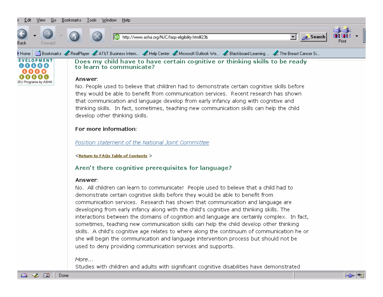







■ ※ 國 Done

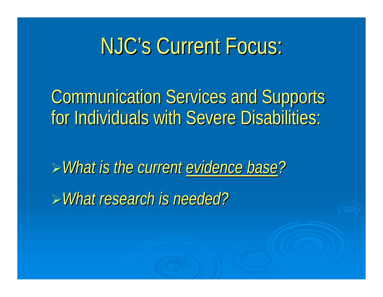# NJC's Current Focus:

**Communication Services and Supports** for Individuals with Severe Disabilities:

!*What is the current What is the current evidence base evidence base?*

!*What research is needed? What research is needed?*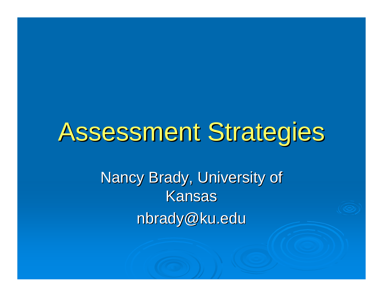# Assessment Strategies

Nancy Brady, University of Kansasnbrady@ku.edu nbrady@ku.edu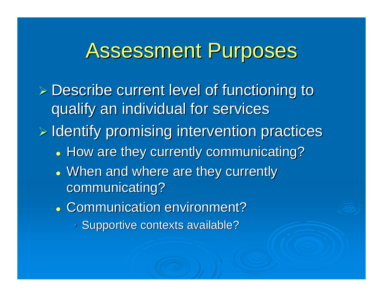### Assessment Purposes

 $\triangleright$  Describe current level of functioning to qualify an individual for services qualify an individual for services

 $\triangleright$  Identify promising intervention practices

- . How are they currently communicating?
- . When and where are they currently communicating?
- **. Communication environment?** 
	- Supportive contexts available?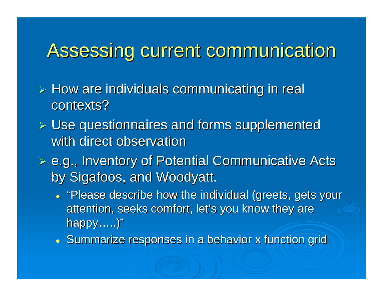### Assessing current communication Assessing current communication

- $\triangleright$  How are individuals communicating in real contexts?
- $\triangleright$  Use questionnaires and forms supplemented with direct observation
- $\triangleright$  e.g., Inventory of Potential Communicative Acts by Sigafoos, and Woodyatt.
	- "Please describe how the individual (greets, gets your attention, seeks comfort, let's you know they are happy …..) "
	- Summarize responses in a behavior x function grid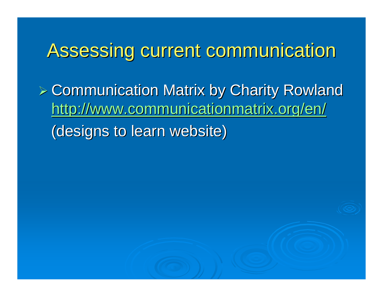### Assessing current communication Assessing current communication

 $>$  Communication Matrix by Charity Rowland http://www.communicationmatrix.org/en/ (designs to learn website)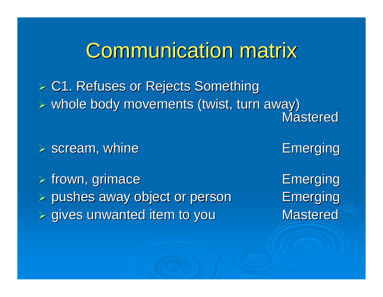### **Communication matrix**

> C1. Refuses or Rejects Something ! whole body movements (twist, turn away) whole body movements (twist, turn away) Mastered**Mastered** 

 $\triangleright$  scream, whine  $\triangleright$  Emerging

 $\triangleright$  frown, grimace  $\triangleright$  Emerging ! pushes away object or person pushes away object or person Emerging Emerging ! gives unwanted item to you gives unwanted item to you Mastered Mastered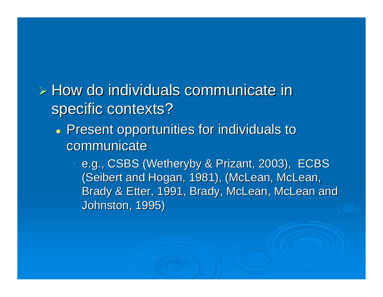### $\triangleright$  How do individuals communicate in specific contexts?

- . Present opportunities for individuals to communicate
	- e.g., CSBS (Wetheryby & Prizant, 2003), ECBS (Seibert and Hogan, 1981), (McLean, McLean, Brady & Etter, 1991, Brady, McLean, McLean and Johnston, 1995)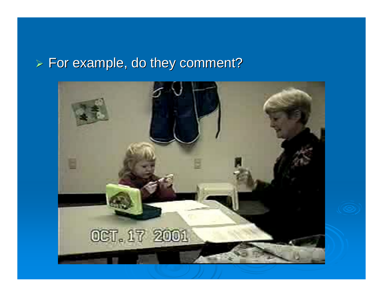#### $\triangleright$  For example, do they comment?

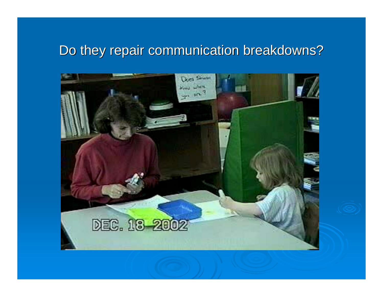### Do they repair communication breakdowns? Do they repair communication breakdowns?

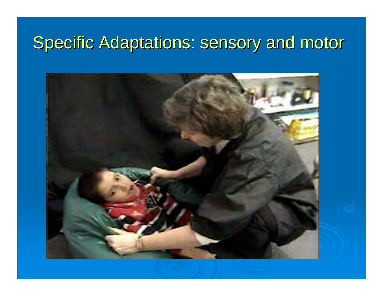### Specific Adaptations: sensory and motor

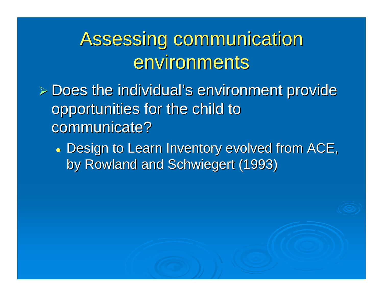## Assessing communication environments

- $\triangleright$  Does the individual's environment provide opportunities for the child to communicate?
	- . Design to Learn Inventory evolved from ACE, by Rowland and Schwiegert (1993)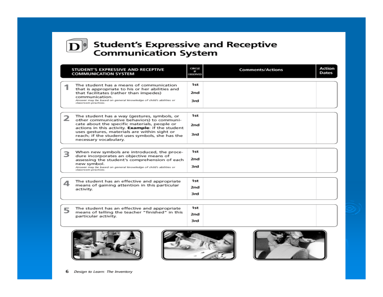

### **Student's Expressive and Receptive<br>Communication System**

|   | STUDENT'S EXPRESSIVE AND RECEPTIVE<br><b>COMMUNICATION SYSTEM</b>                                                                                                                                                                                                                                                           | CIRCLE<br>F<br>OBSERVED | <b>Comments/Actions</b> | Action<br>Dates |
|---|-----------------------------------------------------------------------------------------------------------------------------------------------------------------------------------------------------------------------------------------------------------------------------------------------------------------------------|-------------------------|-------------------------|-----------------|
|   | The student has a means of communication<br>that is appropriate to his or her abilities and<br>that facilitates (rather than impedes)<br>communication.<br>Answer may be based on general knowledge of child's abilities or<br>classroom practices.                                                                         | 1st<br>2nd<br>3rd       |                         |                 |
|   | The student has a way (gestures, symbols, or<br>other communicative behaviors) to communi-<br>cate about the specific materials, people or<br>actions in this activity. Example: if the student<br>uses gestures, materials are within sight or<br>reach; if the student uses symbols, she has the<br>necessary vocabulary. | 1st<br>2nd<br>3rd       |                         |                 |
|   | When new symbols are introduced, the proce-<br>dure incorporates an objective means of<br>assessing the student's comprehension of each<br>new symbol.<br>Answer may be based on general knowledge of child's abilities or<br>classroom practices.                                                                          | 1st<br>2nd<br>3rd       |                         |                 |
| ⊿ | The student has an effective and appropriate<br>means of gaining attention in this particular<br>activity.                                                                                                                                                                                                                  | 1st<br>2nd<br>3rd       |                         |                 |
| 5 | The student has an effective and appropriate<br>means of telling the teacher "finished" in this<br>particular activity.                                                                                                                                                                                                     | 1st<br>2nd<br>3rd       |                         |                 |
|   |                                                                                                                                                                                                                                                                                                                             |                         |                         |                 |





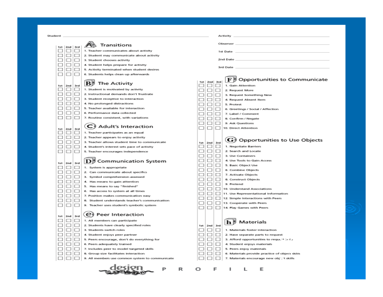| Student |  |  |  |
|---------|--|--|--|
|         |  |  |  |
|         |  |  |  |

| dent     |                       |          |                                                       |   |                          |        | Activity                                                |
|----------|-----------------------|----------|-------------------------------------------------------|---|--------------------------|--------|---------------------------------------------------------|
|          |                       |          | Transitions                                           |   |                          |        | Observer                                                |
|          | 1st 2nd 3rd<br>$\Box$ | ∣∪       | 1. Teacher communicates about activity                |   |                          |        | 1st Date                                                |
| ப        | ▭                     | □        | 2. Student may communicate about activity             |   |                          |        |                                                         |
| ப        | □                     | $\Box$   | 3. Student chooses activity                           |   |                          |        | 2nd Date                                                |
| □        |                       | □        | 4. Student helps prepare for activity                 |   |                          |        |                                                         |
| □        | $\Box$                | $\Box$   | 5. Activity terminated when student desires           |   |                          |        | 3rd Date                                                |
| □        |                       | $\Box$   | 6. Students helps clean up afterwards                 |   |                          |        |                                                         |
|          |                       |          |                                                       |   |                          |        | Opportunities to Communicate<br>${\bf F}$   2]          |
| 1st      | 2nd 3rd               |          | $\mathbf{B}$ p<br><b>The Activity</b>                 |   | $1st$   2nd   3rd  <br>□ | □      | 1. Gain Attention                                       |
| $\Box$   |                       | ப        | 1. Student is motivated by activity                   |   |                          | ப      | 2. Request More                                         |
| $\Box$   | ⊐                     | □        | 2. Instructional demands don't frustrate              |   |                          |        | 3. Request Something New                                |
| □        |                       | ⊏        | 3. Student receptive to interaction                   |   |                          | m      | 4. Request Absent Item                                  |
|          |                       | □        | 4. No prolonged distractions                          |   |                          | I.     | 5. Protest                                              |
|          |                       | □        | 5. Teacher available for interaction                  |   |                          |        | 6. Greetings / Social / Affection                       |
|          |                       | □        | 6. Performance data collected                         |   |                          | L      | 7. Label / Comment                                      |
| П        | □                     | $\Box$   | 7. Routine consistent, with variations                |   |                          |        | 8. Confirm / Negate                                     |
|          |                       |          |                                                       |   |                          | U      | 9. Ask Questions                                        |
|          |                       |          | $\left( \textsf{C}\right)$ Adult's Interaction        |   |                          |        | 10. Direct Attention                                    |
| 1st<br>ப | 2md<br>ப              | 3rd<br>ப | 1. Teacher participates as an equal                   |   |                          |        |                                                         |
| □        | u.                    | □        | 2. Teacher appears to enjoy activity                  |   |                          |        |                                                         |
| $\Box$   |                       | $\Box$   | 3. Teacher allows student time to communicate         |   | $1st$ 2nd 3rd            |        | $\left( \mathbf{G}\right)$ Opportunities to Use Objects |
|          |                       | □        | 4. Student's interest sets pace of activity           |   | ш                        | $\Box$ | 1. Negotiate Barriers                                   |
| □        |                       |          | 5. Teacher encourages independence                    |   |                          | □      | 2. Search and Locate                                    |
|          |                       |          |                                                       |   |                          | ⊏      | 3. Use Containers                                       |
|          |                       |          | <b>Communication System</b><br>$\mathbf{D}\mathbf{P}$ |   |                          | □      | 4. Use Tools to Gain Access                             |
| 1st      | 2nd                   | 3rd      |                                                       |   |                          | ⊏      | 5. Basic Object Use                                     |
| $\Box$   | ш.                    | ப        | 1. System is appropriate                              |   |                          | П      | 6. Combine Objects                                      |
| ட        | ப                     | □        | 2. Can communicate about specifics                    |   |                          | □      | 7. Activate Objects                                     |
| □        |                       | □        | 3. Symbol comprehension assessed                      |   |                          | □      | 8. Construct Objects                                    |
| $\Box$   |                       |          | 4. Has means to gain attention                        |   |                          | □      | 9. Pretend                                              |
| □        |                       | $\Box$   | 5. Has means to say "finished"                        |   |                          | □      | 10. Understand Associations                             |
| $\Box$   |                       | □        | 6. Has access to system at all times                  |   |                          | ⊏      | 11. Use Representational Information                    |
| □        |                       | ப        | 7. Position makes communication easy                  |   |                          | $\Box$ | 12. Simple Interactions with Peers                      |
|          |                       | ப        | 8. Student understands teacher's communication        |   |                          |        | 13. Cooperate with Peers                                |
| $\Box$   | □                     | □        | 9. Teacher uses student's symbolic system             |   | H                        | □      | 14. Play Games with Peers                               |
|          |                       |          | $(e)$ Peer Interaction                                |   |                          |        |                                                         |
| 1st      | 2nd 3rd               |          |                                                       |   |                          |        |                                                         |
| $\Box$   | $\Box$ $\Box$         |          | 1. All members can participate                        |   |                          |        | Materials<br>$\mathbf{h}$ $\mathbf{F}$                  |
| $\Box$   | $\Box$                | □        | 2. Students have clearly specified roles              |   | 1st 2nd 3rd              |        |                                                         |
| □        | u.                    | $\Box$   | 3. Students switch roles                              |   |                          | □      | 1. Materials foster interaction                         |
| □        | $\Box$                | □        | 4. Student enjoys peer partner                        |   | L.                       | ⊏      | 2. Have separate parts to request                       |
| □        | □                     | □        | 5. Peers encourage, don't do everything for           |   |                          | $\Box$ | 3. Afford opportunities to requel in the                |
| □        | □                     | □        | 6. Peers adequately trained                           |   |                          | □      | 4. Student enjoys materials                             |
| $\Box$   | $\Box$                | □        | 7. Includes peer to model targeted skills             |   |                          | $\Box$ | 5. Peers enjoy materials                                |
| □        | □                     | ப        | 8. Group size facilitates interaction                 |   |                          | $\Box$ | 6. Materials provide practice of object skills          |
|          |                       |          | 9. All members use common system to communicate       |   |                          | $\Box$ | 7. Materials encourage new obj  t skills                |
|          |                       |          | desien<br>R                                           | O |                          | F      | ı<br>Е<br>L                                             |

<u>್ರಾಂಡ್</u>

ar O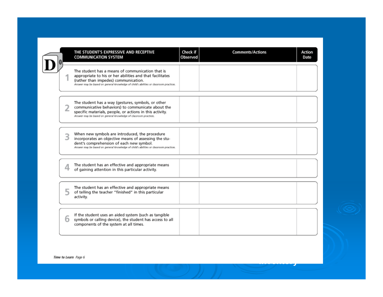|   | THE STUDENT'S EXPRESSIVE AND RECEPTIVE<br><b>COMMUNICATION SYSTEM</b>                                                                                                                                                                         | Check if<br>Observed | <b>Comments/Actions</b> | Action<br>Date |
|---|-----------------------------------------------------------------------------------------------------------------------------------------------------------------------------------------------------------------------------------------------|----------------------|-------------------------|----------------|
|   | The student has a means of communication that is<br>appropriate to his or her abilities and that facilitates<br>(rather than impedes) communication.<br>Answer may be based on general knowledge of child's abilities or classroom practices. |                      |                         |                |
| 2 | The student has a way (gestures, symbols, or other<br>communicative behaviors) to communicate about the<br>specific materials, people, or actions in this activity.<br>Answer may be based on general knowledge of classroom practices.       |                      |                         |                |
|   | When new symbols are introduced, the procedure<br>incorporates an objective means of assessing the stu-<br>dent's comprehension of each new symbol.<br>Answer may be based on general knowledge of child's abilities or classroom practices.  |                      |                         |                |
|   | The student has an effective and appropriate means<br>of gaining attention in this particular activity.                                                                                                                                       |                      |                         |                |
|   | The student has an effective and appropriate means<br>of telling the teacher "finished" in this particular<br>activity.                                                                                                                       |                      |                         |                |
| 6 | If the student uses an aided system (such as tangible<br>symbols or calling device), the student has access to all<br>components of the system at all times.                                                                                  |                      |                         |                |

**Inventory**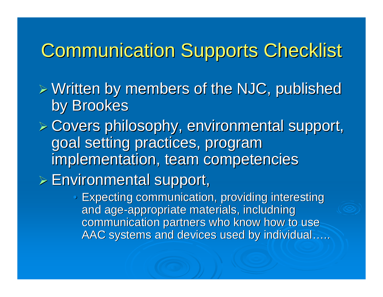### **Communication Supports Checklist**

 $>$  Written by members of the NJC, published by Brookes

- $E >$  Covers philosophy, environmental support, goal setting practices, program implementation, team competencies
- $\triangleright$  Environmental support,
	- $\bigcirc$  Expecting communication, providing interesting Expecting communication, providing interesting and age-appropriate materials, includning communication partners who know how to use AAC systems and devices used by individual.....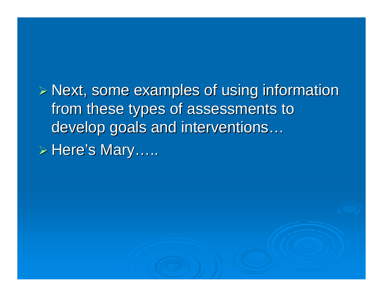$P$  Next, some examples of using information from these types of assessments to develop goals and interventions … > Here's Mary…..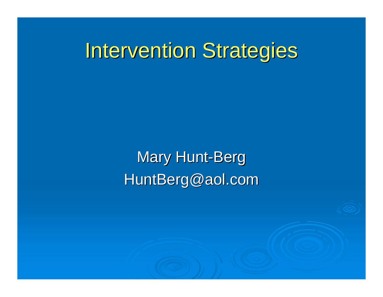### **Intervention Strategies**

Mary Hunt-Berg HuntBerg@aol.com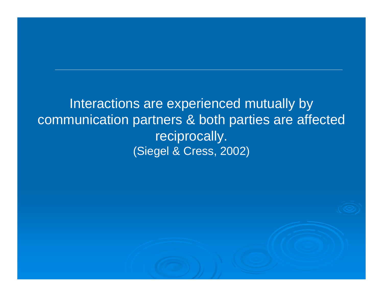Interactions are experienced mutually by communication partners & both parties are affected reciprocally. (Siegel & Cress, 2002)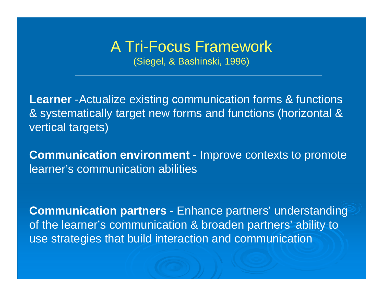### A Tri-Focus Framework

(Siegel, & Bashinski, 1996)

**Learner** -Actualize existing communication forms & functions & systematically target new forms and functions (horizontal & vertical targets)

**Communication environment** - Improve contexts to promote learner's communication abilities

**Communication partners** - Enhance partners' understanding of the learner's communication & broaden partners' ability to use strategies that build interaction and communication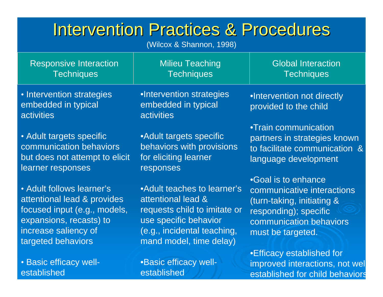### Intervention Practices & Procedures

(Wilcox & Shannon, 1998)

| <b>Responsive Interaction</b>                                         | <b>Milieu Teaching</b>                                        | <b>Global Interaction</b>                                                                      |
|-----------------------------------------------------------------------|---------------------------------------------------------------|------------------------------------------------------------------------------------------------|
| <b>Techniques</b>                                                     | <b>Techniques</b>                                             | <b>Techniques</b>                                                                              |
| • Intervention strategies<br>embedded in typical<br><b>activities</b> | •Intervention strategies<br>embedded in typical<br>activities | .Intervention not directly<br>provided to the child                                            |
| • Adult targets specific                                              | • Adult targets specific                                      | •Train communication                                                                           |
| communication behaviors                                               | behaviors with provisions                                     | partners in strategies known                                                                   |
| but does not attempt to elicit                                        | for eliciting learner                                         | to facilitate communication &                                                                  |
| learner responses                                                     | responses                                                     | language development                                                                           |
| • Adult follows learner's                                             | • Adult teaches to learner's                                  | •Goal is to enhance                                                                            |
| attentional lead & provides                                           | attentional lead &                                            | communicative interactions                                                                     |
| focused input (e.g., models,                                          | requests child to imitate or                                  | (turn-taking, initiating &                                                                     |
| expansions, recasts) to                                               | use specific behavior                                         | responding); specific                                                                          |
| increase saliency of                                                  | (e.g., incidental teaching,                                   | communication behaviors                                                                        |
| targeted behaviors                                                    | mand model, time delay)                                       | must be targeted.                                                                              |
| • Basic efficacy well-<br>established                                 | •Basic efficacy well-<br>established                          | •Efficacy established for<br>improved interactions, not wel<br>established for child behaviors |

established for child behavior s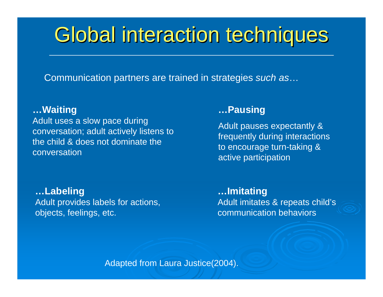## Global interaction techniques

Communication partners are trained in strategies *such as* …

#### **…Waiting**

Adult uses a slow pace during conversation; adult actively listens to the child & does not dominate the conversation

#### **…Labeling** Adult provides labels for actions, objects, feelings, etc.

#### **…Pausing**

Adult pauses expectantly & frequently during interactions to encourage turn-taking & active participation

**…Imitating** Adult imitates & repeats child's communication behaviors

Adapted from Laura Justice(2004).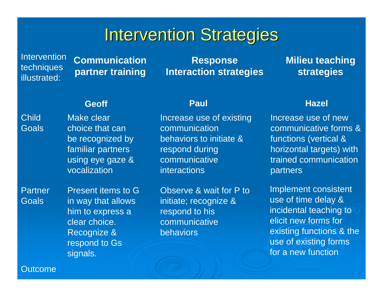### **Intervention Strategies**

**Intervention** techniques illustrated:

**Communication partner training**

**Response Interaction strategies**

#### **Milieu teaching strategies**

#### **Geoff**

Child **Goals**  Make clear choice that can be recognized by familiar partners using eye gaze & vocalization

**Partner Goals** 

Present items to G in way that allows him to express a clear choice. Recognize & respond to Gs signals.

Increase use of existing communication behaviors to initiate & respond during communicative interactions

Observe & wait for P to initiate; recognize & respond to his communicative behaviors

#### **Paul Hazel**

Increase use of new communicative forms & functions (vertical & horizontal targets) with trained communication partners

Implement consistent use of time delay & incidental teaching to elicit new forms for existing functions & the use of existing forms for a new function

#### Outcome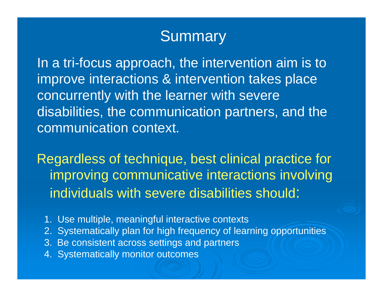### **Summary**

In a tri-focus approach, the intervention aim is to improve interactions & intervention takes place concurrently with the learner with severe disabilities, the communication partners, and the communication context.

Regardless of technique, best clinical practice for improving communicative interactions involving individuals with severe disabilities should:

- 1. Use multiple, meaningful interactive contexts
- 2. Systematically plan for high frequency of learning opportunities
- 3. Be consistent across settings and partners
- 4. Systematically monitor outcomes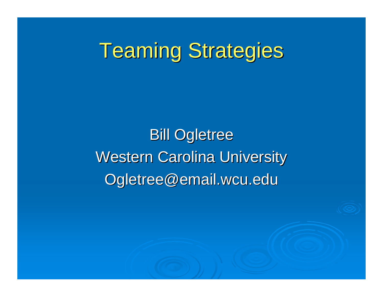# **Teaming Strategies**

**Bill Ogletree Western Carolina University** Ogletree@email.wcu.edu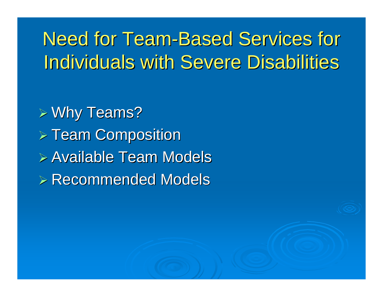## Need for Team-Based Services for **Individuals with Severe Disabilities**

 $\triangleright$  Why Teams?  $>$  Team Composition  $\triangleright$  Available Team Models  $\triangleright$  Recommended Models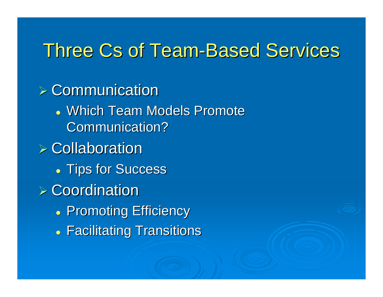### Three Cs of Team-Based Services

- $\triangleright$  Communication
	- Which Team Models Promote Communication?
- $\triangleright$  Collaboration
	- . Tips for Success
- $\triangleright$  Coordination
	- . Promoting Efficiency
	- Facilitating Transitions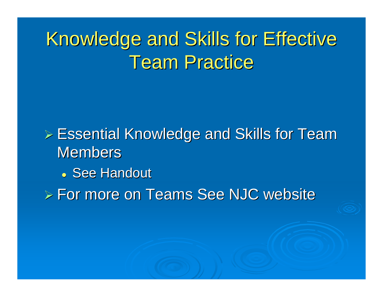## Knowledge and Skills for Effective **Team Practice**

 $\triangleright$  Essential Knowledge and Skills for Team Members

• See Handout

 $\triangleright$  For more on Teams See NJC website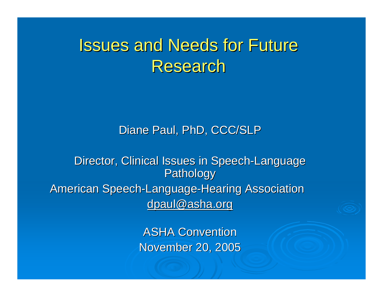### **Issues and Needs for Future Research**

#### Diane Paul, PhD, CCC/SLP

Director, Clinical Issues in Speech-Language Pathology American Speech-Language-Hearing Association dpaul@asha.org

> **ASHA Convention** November 20, 2005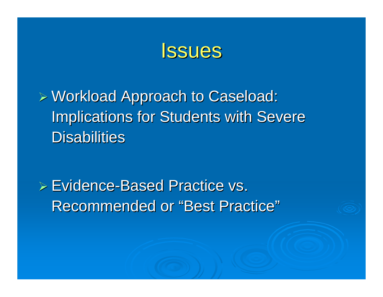

 $D$  Workload Approach to Caseload: **Implications for Students with Severe** Disabilities

 $\triangleright$  Evidence-Based Practice vs. Recommended or "Best Practice"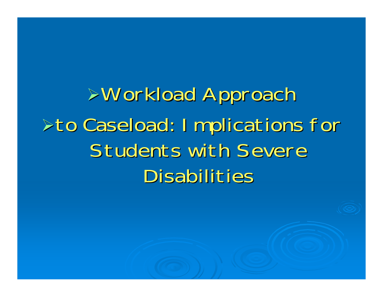!Workload Approach Workload Approach  $\triangleright$  to Caseload: Implications for Students with Severe Disabilities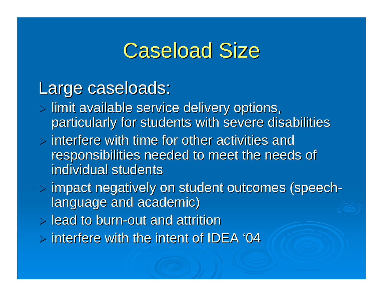## **Caseload Size**

### Large caseloads:

- $>$  limit available service delivery options, particularly for students with severe disabilities
- $\triangleright$  interfere with time for other activities and responsibilities needed to meet the needs of individual students
- $>$  impact negatively on student outcomes (speech language and academic)
- $\triangleright$  lead to burn-out and attrition
- $\triangleright$  interfere with the intent of IDEA '04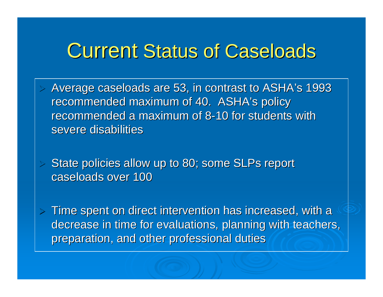### **Current Status of Caseloads**

 $\triangleright$ Average caseloads are 53, in contrast to ASHA's 1993 recommended maximum of 40. ASHA's policy recommended a maximum of 8-10 for students with severe disabilities

State policies allow up to 80; some SLPs report caseloads over 100

 $\triangleright$ 

 $>$  Time spent on direct intervention has increased, with a decrease in time for evaluations, planning with teachers, preparation, and other professional duties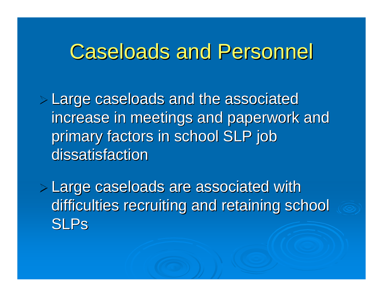### **Caseloads and Personnel**

 $>$  Large caseloads and the associated increase in meetings and paperwork and primary factors in school SLP job dissatisfaction

**Example 20 Sepands are associated with Large caseloads are associated with** difficulties recruiting and retaining school SLPs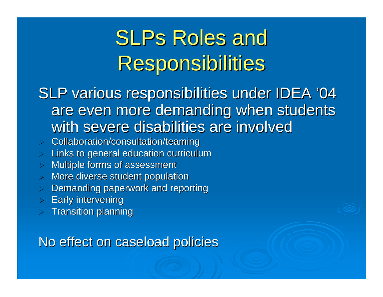# **SLPs Roles and Responsibilities**

SLP various responsibilities under IDEA '04 are even more demanding when students with severe disabilities are involved

- $>$  Collaboration/consultation/teaming
- $\,>$  Links to general education curriculum
- $>$  Multiple forms of assessment
- $>$  More diverse student population
- $>$  Demanding paperwork and reporting
- $\triangleright$  Early intervening
- $\,>$  Transition planning

No effect on caseload policies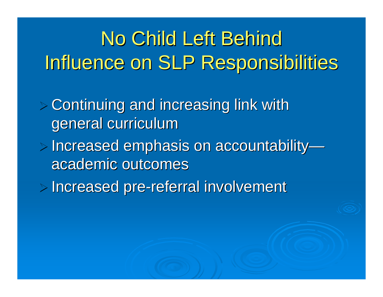# No Child Left Behind Influence on SLP Responsibilities

- $>$  Continuing and increasing link with  $\geq$ general curriculum
- $>$  Increased emphasis on accountability academic outcomes
- > Increased pre-referral involvement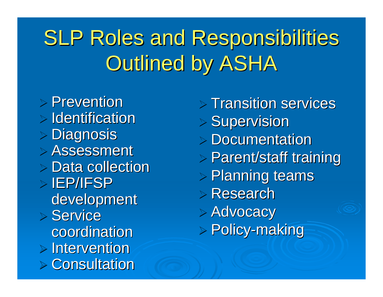# **SLP Roles and Responsibilities Outlined by ASHA**

 $\triangleright$  Prevention  $>$  Identification  $>$  Diagnosis  $>$  Assessment  $\triangleright$  Data collection  $>$  IEP/IFSP development  $>$  Service coordination  $>$  Intervention  $>$  Consultation

 $>$  Transition services  $>$  Supervision  $>$  Documentation  $>$  Parent/staff training  $>$  Planning teams  $\triangleright$  Research > Advocacy > Policy-making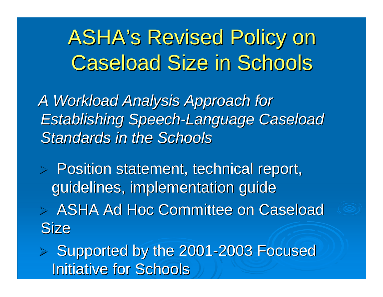# **ASHA's Revised Policy on Caseload Size in Schools**

A Workload Analysis Approach for **Establishing Speech-Language Caseload** *Standards in the Schools Standards in the Schools*

 $\triangleright$  Position statement, technical report, guidelines, implementation guide

 $\triangleright$  ASHA Ad Hoc Committee on Caseload **Size** 

> Supported by the 2001-2003 Focused **Initiative for Schools**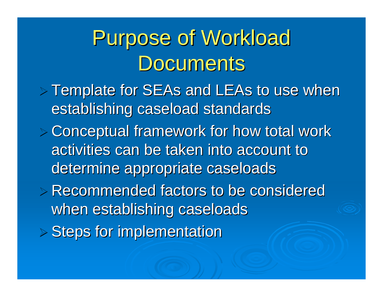# Purpose of Workload Documents

- $>$  Template for SEAs and LEAs to use when establishing caseload standards
- $>$  Conceptual framework for how total work activities can be taken into account to determine appropriate caseloads
- $\triangleright$  Recommended factors to be considered when establishing caseloads
- $>$  Steps for implementation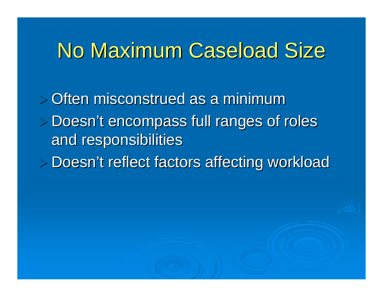## No Maximum Caseload Size

 $>$  Often misconstrued as a minimum  $>$  Doesn't encompass full ranges of roles and responsibilities > Doesn't reflect factors affecting workload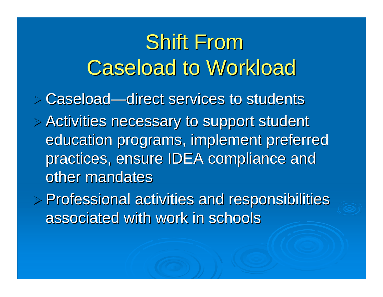# **Shift From Caseload to Workload**

 $\triangleright$  Caseload—direct services to students

 $>$  Activities necessary to support student education programs, implement preferred practices, ensure IDEA compliance and other mandates

 $\triangleright$  Professional activities and responsibilities associated with work in schools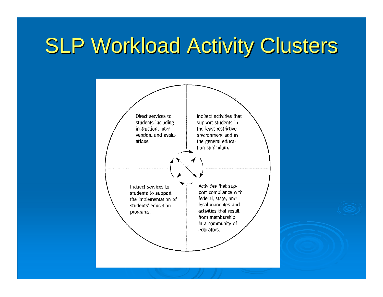# **SLP Workload Activity Clusters**



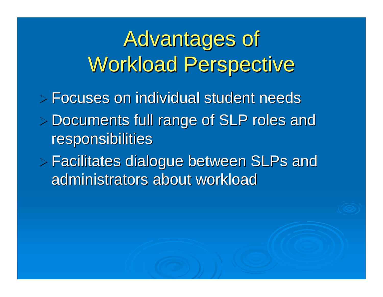Advantages of Workload Perspective

 $\triangleright$  Focuses on individual student needs

- $>$  Documents full range of SLP roles and **responsibilities**
- $\triangleright$  Facilitates dialogue between SLPs and administrators about workload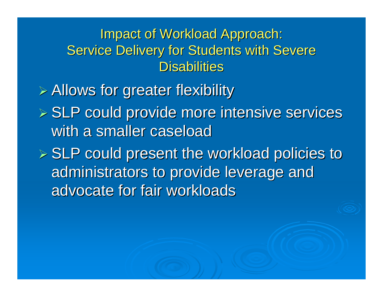Impact of Workload Approach: Service Delivery for Students with Severe Disabilities

 $\triangleright$  Allows for greater flexibility

 $\triangleright$  SLP could provide more intensive services with a smaller caseload

 $E >$  SLP could present the workload policies to administrators to provide leverage and advocate for fair workloads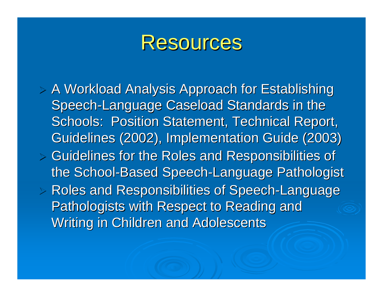

 $>$  A Workload Analysis Approach for Establishing Speech-Language Caseload Standards in the Schools: Position Statement, Technical Report, Guidelines (2002), Implementation Guide (2003)  $>$  Guidelines for the Roles and Responsibilities of the School-Based Speech-Language Pathologist  $>$  Roles and Responsibilities of Speech-Language Pathologists with Respect to Reading and Writing in Children and Adolescents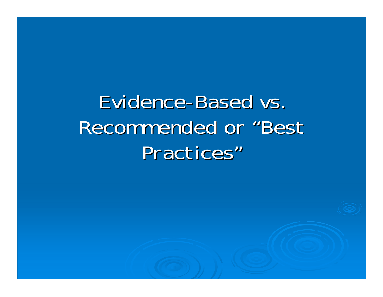Evidence-Based vs. Recommended or "Best Practices"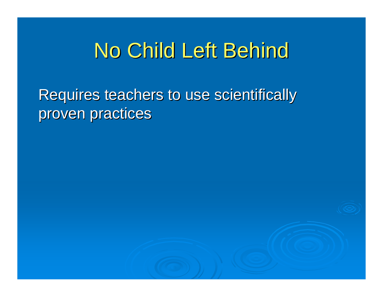# No Child Left Behind

Requires teachers to use scientifically proven practices

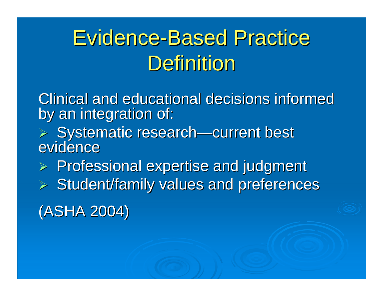# **Evidence-Based Practice** Definition

Clinical and educational decisions informed by an integration of:

- > Systematic research—current best<br>evidence evidence
- $\triangleright$  Professional expertise and judgment
- $\triangleright$  Student/family values and preferences

(ASHA 2004) (ASHA 2004)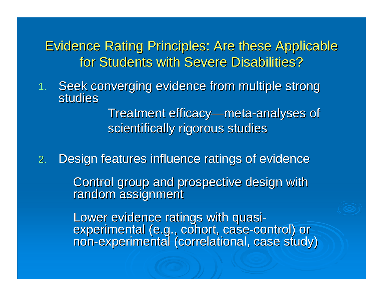Evidence Rating Principles: Are these Applicable for Students with Severe Disabilities?

1.Seek converging evidence from multiple strong<br>studies

> Treatment efficacy—meta-analyses of scientifically rigorous studies

2.Design features influence ratings of evidence

Control group and prospective design with random assignment

Lower evidence ratings with quasi-<br>experimental (e.g., cohort, case-control) or non-experimental (correlational, case study)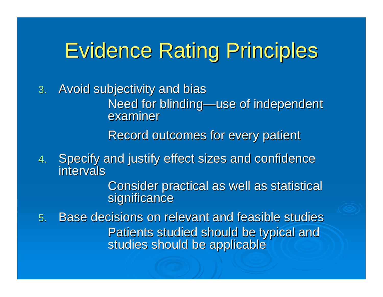# **Evidence Rating Principles**

3. Avoid subjectivity and bias

Need for blinding—use of independent<br>examiner

Record outcomes for every patient

4.Specify and justify effect sizes and confidence intervals

Consider practical as well as statistical significance

5. Base decisions on relevant and feasible studies Patients studied should be typical and studies should be applicable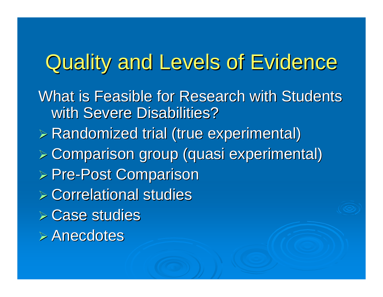## Quality and Levels of Evidence

What is Feasible for Research with Students with Severe Disabilities?

**E. Randomized trial (true experimental)** 

 $>$  Comparison group (quasi experimental)

- > Pre-Post Comparison
- $\triangleright$  Correlational studies
- $\triangleright$  Case studies
- $\triangleright$  Anecdotes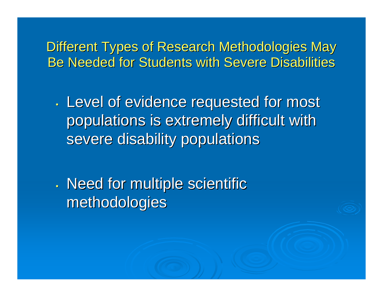Different Types of Research Methodologies May Be Needed for Students with Severe Disabilities

 $\bullet$ . Level of evidence requested for most populations is extremely difficult with populations is extremely difficult with severe disability populations

 $\bullet$  $\cdot$  Need for multiple scientific methodologies methodologies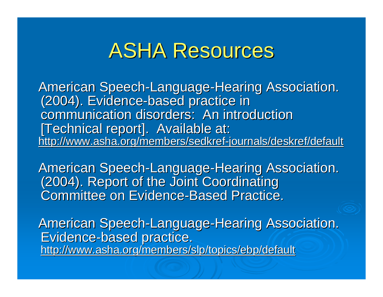## **ASHA Resources**

American Speech-Language-Hearing Association. (2004). Evidence-based practice in communication disorders: An introduction [Technical report]. Available at: <u>http://www.asha.org/members/sedkref-journals/deskref/default</u>

American Speech-Language-Hearing Association. (2004). Report of the Joint Coordinating **Committee on Evidence-Based Practice.** 

American Speech-Language-Hearing Association. Evidence-based practice. http://www.asha.org/members/slp/topics/ebp/default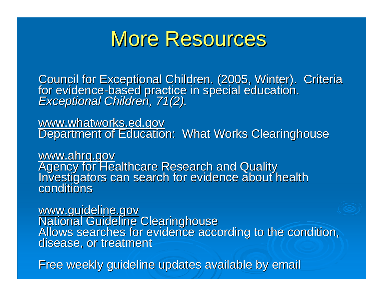## More Resources

Council for Exceptional Children. (2005, Winter). Criteria for evidence for evidence-based practice in special education.<br>*Exceptional Children, 71(2).* 

www.whatworks.ed.gov<br>Department of Education: What Works Clearinghouse

www.ahrq.gov<br>Agency for Healthcare Research and Quality<br>Investigators can search for evidence about health conditions

www.guideline.gov<br>National Guideline Clearinghouse<br>Allows searches for evidence according to the condition,<br>disease, or treatment

Free weekly guideline updates available by email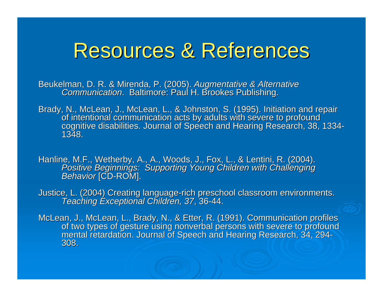### Resources & References

Beukelman, D. R. & Mirenda, P. (2005). *Augmentative & Alternative*<br>Co*mmunication*. Baltimore: Paul H. Brookes Publishing.

Brady, N., McLean, J., McLean, L., & Johnston, S. (1995). Initiation and repair<br>of intentional communication acts by adults with severe to profound<br>cognitive disabilities. Journal of Speech and Hearing Research, 38, 1334-<br>

Hanline, M.F., Wetherby, A., A., Woods, J., Fox, L., & Lentini, R. (2004). Positive Beginnings: Supporting Young Children with Challenging *Behavior* [CD-ROM].

Justice, L. (2004) Creating language-rich preschool classroom environments.<br>Teaching Exceptional Children, 37, 36-44.

McLean, J., McLean, L., Brady, N., & Etter, R. (1991). Communication profiles<br>of two types of gesture using nonverbal persons with severe to profound<br>mental retardation. Journal of Speech and Hearing Research, 34, 294-<br>308